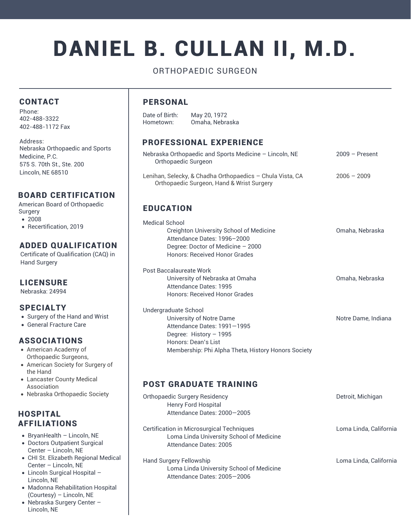# DANIEL B. CULLAN II, M.D.

# ORTHOPAEDIC SURGEON

#### CONTACT

Phone: 402-488-3322 402-488-1172 Fax

Address: Nebraska Orthopaedic and Sports Medicine, P.C. 575 S. 70th St., Ste. 200 Lincoln, NE 68510

#### BOARD CERTIFICATION

American Board of Orthopaedic Surgery

- 2008
- Recertification, 2019

#### ADDED QUALIFICATION

Certificate of Qualification (CAQ) in Hand Surgery

#### LICENSURE

Nebraska: 24994

#### SPECIALTY

- Surgery of the Hand and Wrist
- General Fracture Care

# ASSOCIATIONS

- American Academy of Orthopaedic Surgeons,
- American Society for Surgery of the Hand
- Lancaster County Medical Association
- Nebraska Orthopaedic Society

#### **HOSPITAL** AFFILIATIONS

- $\bullet$  BryanHealth Lincoln, NE
- Doctors Outpatient Surgical Center – Lincoln, NE
- CHI St. Elizabeth Regional Medical Center – Lincoln, NE
- Lincoln Surgical Hospital Lincoln, NE
- Madonna Rehabilitation Hospital (Courtesy) – Lincoln, NE
- Nebraska Surgery Center Lincoln, NE

#### PERSONAL

Date of Birth: May 20, 1972 Hometown: Omaha, Nebraska

# PROFESSIONAL EXPERIENCE

| Nebraska Orthopaedic and Sports Medicine - Lincoln, NE<br>Orthopaedic Surgeon                                                                                                            | $2009 -$ Present    |
|------------------------------------------------------------------------------------------------------------------------------------------------------------------------------------------|---------------------|
| Lenihan, Selecky, & Chadha Orthopaedics - Chula Vista, CA<br>Orthopaedic Surgeon, Hand & Wrist Surgery                                                                                   | $2006 - 2009$       |
| <b>EDUCATION</b>                                                                                                                                                                         |                     |
| Medical School<br>Creighton University School of Medicine<br>Attendance Dates: 1996-2000<br>Degree: Doctor of Medicine - 2000<br>Honors: Received Honor Grades                           | Omaha, Nebraska     |
| Post Baccalaureate Work<br>University of Nebraska at Omaha<br>Attendance Dates: 1995<br><b>Honors: Received Honor Grades</b>                                                             | Omaha, Nebraska     |
| Undergraduate School<br>University of Notre Dame<br>Attendance Dates: 1991-1995<br>Degree: History $-1995$<br>Honors: Dean's List<br>Membership: Phi Alpha Theta, History Honors Society | Notre Dame, Indiana |

# POST GRADUATE TRAINING

| Orthopaedic Surgery Residency<br><b>Henry Ford Hospital</b><br>Attendance Dates: 2000-2005                      | Detroit, Michigan      |
|-----------------------------------------------------------------------------------------------------------------|------------------------|
| Certification in Microsurgical Techniques<br>Loma Linda University School of Medicine<br>Attendance Dates: 2005 | Loma Linda, California |
| Hand Surgery Fellowship<br>Loma Linda University School of Medicine<br>Attendance Dates: 2005-2006              | Loma Linda, California |